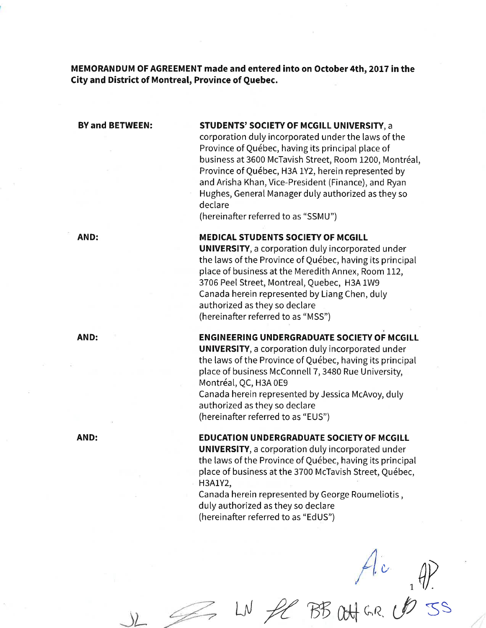MEMORANDUM OF AGREEMENT made and entered into on October 4th, 2017 in the City and District of Montreal, Province of Quebec.

# BY and BETWEEN: STUDENTS' SOCIETY OF MCGILL UNIVERSITY, a

corporation duty incorporated under the laws of the Province of Québec, having its principaI place of business at 3600 McTavish Street, Room L200, Montréal, Province of Québec, H3A 1Y2, herein represented by and Arisha Khan, Vice-President (Finance), and Ryan Hughes, General Manager duly authorized as they so declare

(hereinafter referred to as "SSMU")

# AND: MEDICAL STUDENTS SOCIETY OF MCGILL

UNIVERSITY, a corporation duly incorporated under the laws of the Province of Québec, having its principal place of business at the Meredith Annex, Room 112, 3706 Peel Street, Montreal, Quebec, H3A 1W9 Canada herein represented by Liang Chen, duly authorized as they so declare (hereinafter referred to as "MSS")

# AND: ENGINEERING UNDERGRADUATE SOCIETY OF MCGILL

UNIVERSITY, a corporation duly incorporated under the laws of the Province of Québec, having its principal place of business McConnell 7, 3480 Rue University, Montréal, QC, H3A 0E9 Canada herein represented by Jessica McAvoy, duly authorized as they so declare

(hereinafter referred to as "EUS")

### AND: EDUCATION UNDERGRADUATE SOCIETY OF MCGILL

UNIVERSITY, a corporation duly incorporated under the laws of the Province of Québec, having its principal place of business at the 3700 McTavish Street, Québec, H3A1Y2,

Canada herein represented by George Roumeliotis, duly authorized as they so declare (hereinafter referred to as "EdUS")

 $\bigoplus_{i=1}^{\infty}$ BB WHER USS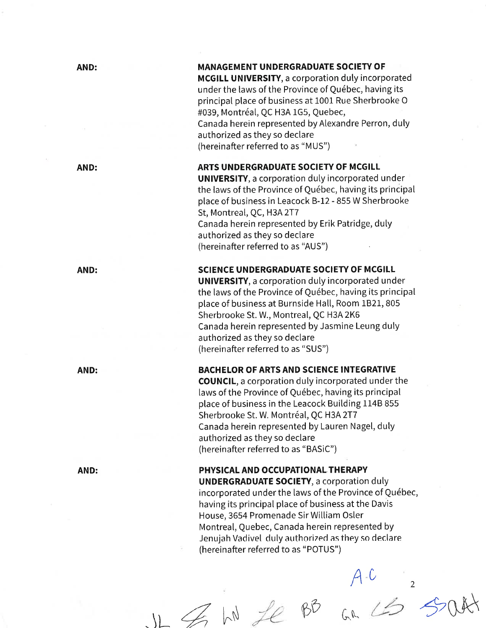# AND:

AND:

AND:

AND:

AND:

# **MANAGEMENT UNDERGRADUATE SOCIETY OF**

MCGILL UNIVERSITY, a corporation duly incorporated under the laws of the Province of Québec, having its principal place of business at 1001 Rue Sherbrooke O #039, Montréal, QC H3A 1G5, Quebec, Canada herein represented byAlexandre Perron, duly authorized as they so declare (hereinafter referred to as "MUS")

# ARTS UNDERGRADUATE SOCIETY OF MCGILL

UNIVERSITY, a corporation duly incorporated under the laws of the Province of Québec, having its principat place of business in Leacock B-L2 - 855 W Sherbrooke St, Montreal, QC, H3A 2T7 Canada herein represented by Erik Patridge, duly authorized as they so declare (hereinafter referred to as "AUS")

# SCIENCE UNDERGRADUATE SOCIETY OF MCGILL

UNIVERSITY, a corporation duly incorporated under the laws of the Province of Québec, having its principal ptace of business at Burnside Hall, Room 1821, 805 Sherbrooke St. W., Montreal, QC H3A 2K6 Canada herein represented by Jasmine Leung duly authorized as they so declare (hereinafter referred to as "SUS")

### BACHELOR OF ARTS AND SCIENCE INTEGRATIVE

COUNCIL, a corporation duly incorporated under the laws of the Province of Québec, having its principal place of business in the Leacock Building 114B 855 Sherbrooke St. W. Montréal, QC H3A 2T7 Canada herein represented by Lauren Nagel, duly authorized as they so declare (hereinafter referred to as "BASiC")

# PHYSICAL AND OCCUPATIONAL THERAPY

UNDERGRADUATE SOCIETY, a corporation duly incorporated under the laws of the Province of Québec, having its principal place of business at the Davis House, 3654 Promenade Sir Wiltiam Osler Montreal, Quebec, Canada herein represented by Jenujah Vadivel duly authorized as they so declare (hereinafter referred to as "POTUS")

 $A - C$ 

 $JL \nsubseteq hN$  fe BB an  $L$ s south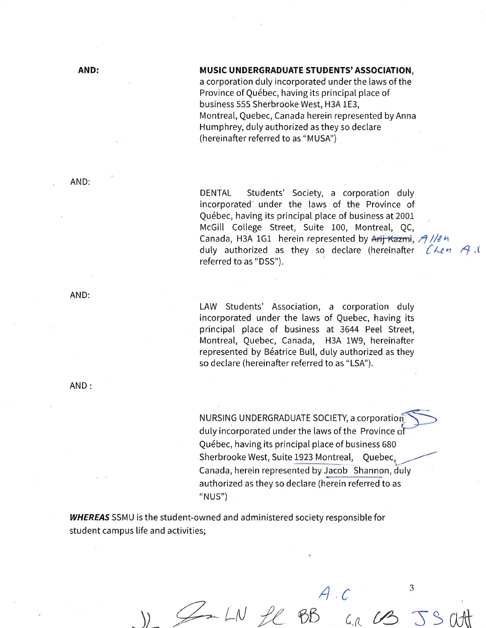### MUSIC UNDERGRADUATE STUDENTS' ASSOCIATION,

a corporation duly incorporated underthe laws of the Province of Québec, having its principal place of business 555 Sherbrooke West, H3A 1E3, Montreal, Quebec, Canada herein represented by Anna Humphrey, duly authorized as they so declare (hereinafter referred to as "MUSA")

AND:

DENTAL Students' Society, a corporation duly incorporated' under the laws of the Province of Québec, having its principaI place of business at 2001 McGill College Street, Suite 100, Montreal, QC, Canada, H3A 1G1 herein represented by Arij Kazmi, A //e h duly authorized as they so declare (hereinafter  $\mathcal{C}$  Len  $\mathcal{A}$  C referred to as "DSS").

LAW Students' Association, a corporation duly incorporated under the laws of Quebec, having its principal place of business at 3644 Peel Street, Montreal, Quebec, Canada, H3A 1W9, hereinafter represented by Béatrice Bull, duly authorized as they so declare (hereinafter referred to as "LSA").

NURSING UNDERGRADUATE SOCIETY, a corporatio duly incorporated under the laws of the Province Québec, having its principal place of business 680 Sherbrooke West, Suite 1923 Montreal, Quebec Canada, herein represented by Jacob Shannon, duly authorized as they so declare (herein referred to as "NUS")

J SIN Le BB an US JS att

**WHEREAS** SSMU is the student-owned and administered society responsible for student campus life and activities;

**AND:** 

AND: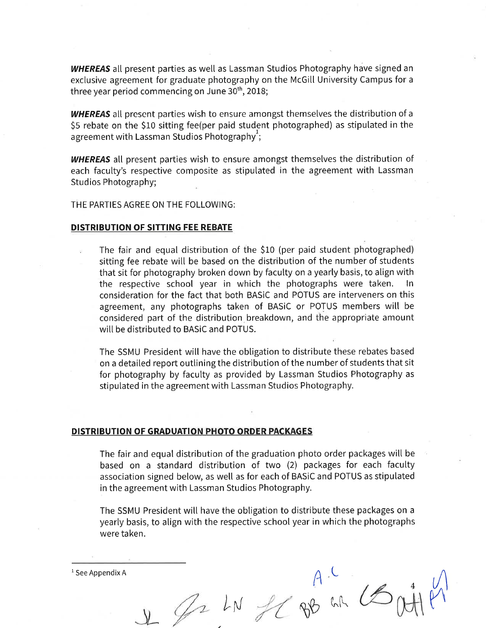WHEREAS all present parties as well as Lassman Studios Photography have signed an exclusive agreement for graduate photography on the McGill University Campus for a three year period commencing on June  $30<sup>th</sup>$ , 2018;

**WHEREAS** all present parties wish to ensure amongst themselves the distribution of a 55 rebate on the StO sitting fee(per paid student photographed) as stipulated in the agreement with Lassman Studios Photography $\cdot$ :

WHEREAS all present parties wish to ensure amongst themselves the distribution of each faculty's respective composite as stipulated in the agreement with Lassman Studios Photography;

THE PARTIES AGREE ON THE FOLLOWING:

#### DISTRIBUTION OF SITTING FEE REBATE

The fair and equal distribution of the \$10 (per paid student photographed) sitting fee rebate wilt be based on the distribution of the number of students that sit for photography broken down by facutty on a yearly basis, to align with the respective school year in which the photographs were taken. consideration for the fact that both BASiC and POTUS are interveners on this agreement, any photographs taken of BASiC or POTUS members will be considered part of the distribution breakdown, and the appropriate amount will be distributed to BASiC and POTUS.

The SSMU President will have the obligation to distribute these rebates based on a detailed report outlining the distribution of the number of students that sit for photography by faculty as provided by Lassman Studios Photography as stipulated in the agreement with Lassman Studios Photography.

#### DISTRIBUTION OF GRADUATION PHOTO ORDER PACKAGES

The fair and equal distribution of the graduation photo order packages wilt be based on a standard distribution of two (2) packages for each faculty association signed below, as well as for each of BASiC and POTUS as stipulated in the agreement with Lassman Studios Photography.

The SSMU President will have the obligation to distribute these packages on a yearly basis, to align with the respective school year in which the photographs were taken.

 $\mathfrak{c}$ 

LN JC 8B WK

L

 $\ell'$ 

4

 $1$  See Appendix A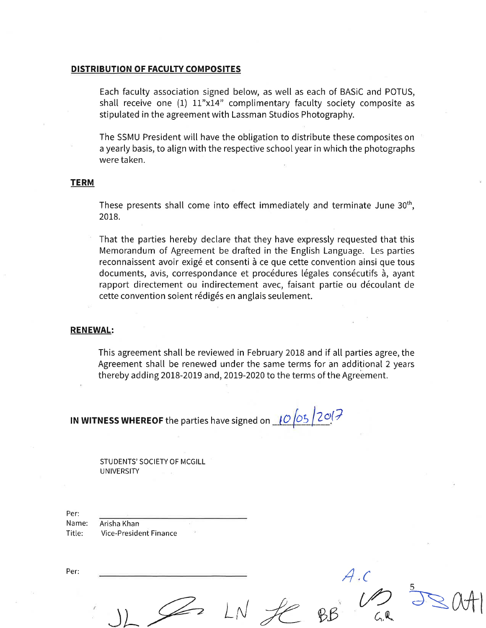#### DISTRIBUTION OF FACULTY COMPOSITES

Each faculty association signed below, as well as each of BASiC and POTUS, shall receive one  $(1)$  11"x14" complimentary faculty society composite as stipulated in the agreement with Lassman Studios Photography.

The SSMU President will have the obligation to distribute these composites on a yearly basis, to align with the respective school year in which the photographs were taken.

# **TERM**

These presents shall come into effect immediately and terminate June 30<sup>th</sup>, 2018.

That the parties hereby declare that they have expressly requested that this Memorandum of Agreement be drafted in the English Language. Les parties reconnaissent avoir exigé et consenti à ce que cette convention ainsi que tous documents, avis, correspondance et procédures légales consécutifs à, ayant rapport directement ou indirectement avec, faisant partie ou découlant de cette convention soient rédigés en anglais seulement.

### RENEWAL:

This agreement shall be reviewed in February 2018 and if all parties agree, the Agreement shall be renewed under the same terms for an additional 2 years thereby adding 2018-2019 and, 2019-2020 to the terms of the Agreement.

 $JL \n\leq 2$   $LN \n\leq 8B$   $CR$ 

 $A$  ,  $C$ 

rÖ

5

 $\overline{\partial}$ SAA

IN WITNESS WHEREOF the parties have signed on  $10/05/2$   $0/7$ 

STUDENTS' SOCIETY OF MCGILL UNIVERSITY

Per: Name: Title: Arisha Khan Vice-President Finance

Per: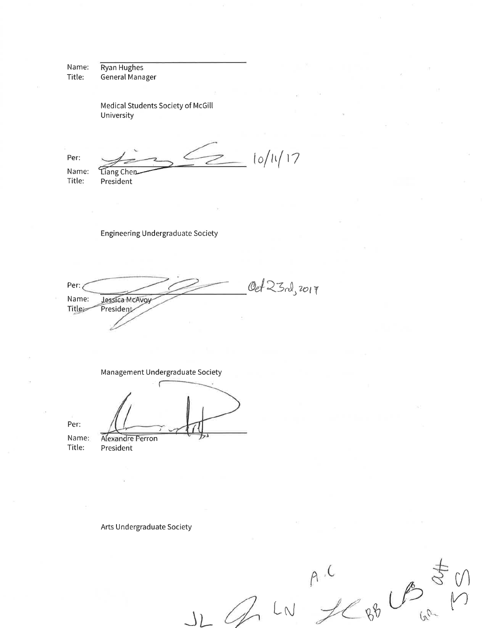Ryan Hughes Name: General Manager Title:

> Medical Students Society of McGill University

 $10/11/17$ Per: Name: Liang Chen

Title:

President

**Engineering Undergraduate Society** 

Oct 23 rd, 2017 Per: Jessica McAvoy Name: Title President

Management Undergraduate Society

Per:

Name: Title:

Alexandre Perron President

Arts Undergraduate Society

 $M^{\prime}$ 88 LB 8  $\mathscr{A}$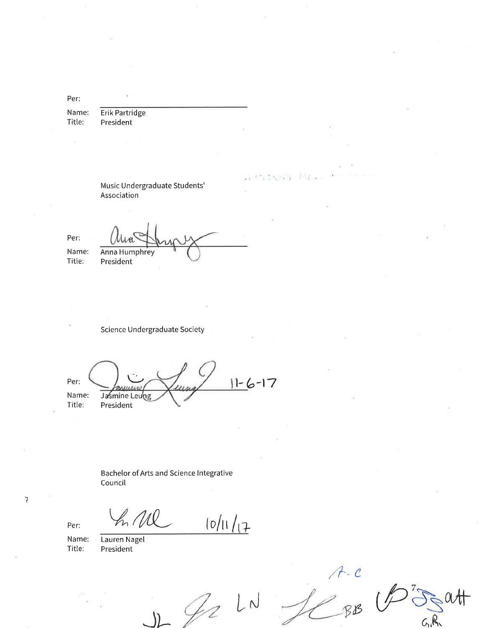Per:

Name: Erik Partridge Title: President

> Music Undergraduate Students' Association

Per: Name:

Title:

Anna Humphrey President

**Science Undergraduate Society** 

 $11-6-17$ Per: **HARAC** Jasmine Leung Name: Title: President

Bachelor of Arts and Science Integrative Council

Per:

 $\mathcal{I}$ 

Name: Title:

Lauren Nagel President

h Ml

 $\lfloor N \rfloor$ fr

 $10/11/17$ 

 $A - C$ <br> $BB$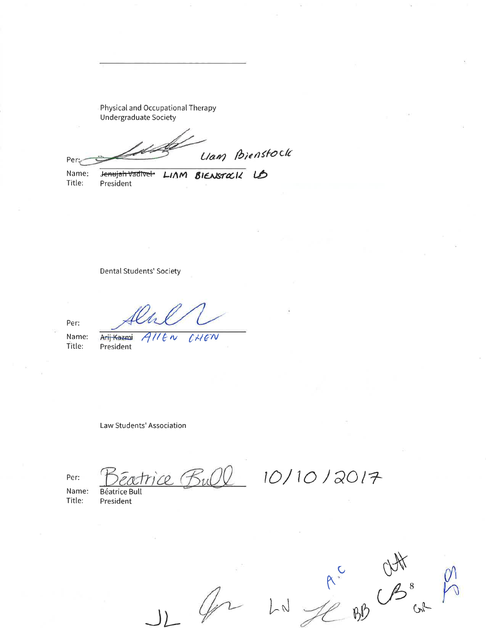Physical and Occupational Therapy **Undergraduate Society** 

Liam Bienstock Per

LIAM BIENSTOCK LD

Name: Title:

Jenujah Vadivel President

**Dental Students' Society** 

Per:

Name: Title:

Arij Kazmi All CHIEN  $e \sim$ President

Law Students' Association

Per:

Name: Title:

**Béatrice Bull** President

ice (Bul)

 $A^c$   $B^s$  $B^{\prime\prime}$  $G^{\mathbb{A}}$ 

 $10/10/2017$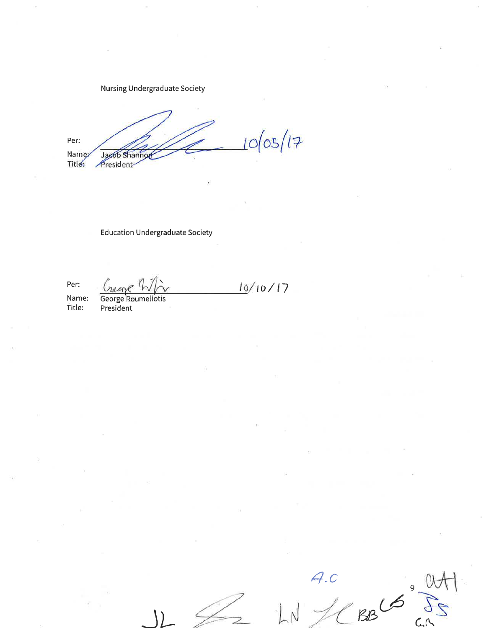Nursing Undergraduate Society

 $10/05/17$ Per: Namez Jacob Shannor Title: President

 $10/10/17$ 

**Education Undergraduate Society** 

Per:

Name: Title:

George Roumeliotis<br>President

 $7.0$  $BB16$ 

9 ር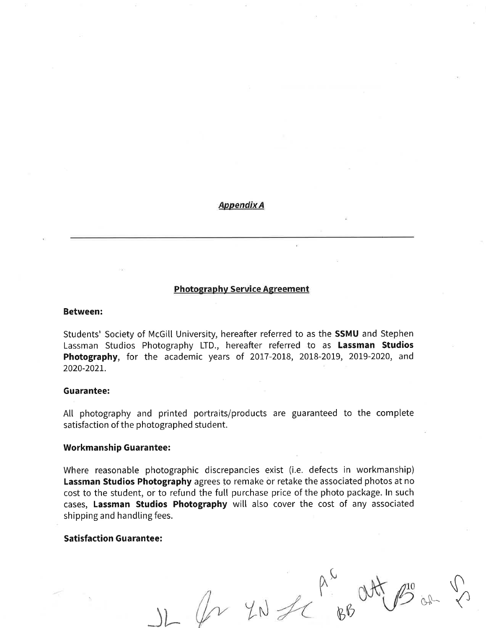**Appendix A** 

# **Photography Service Agreement**

#### **Between:**

Students' Society of McGill University, hereafter referred to as the SSMU and Stephen Lassman Studios Photography LTD., hereafter referred to as Lassman Studios Photography, for the academic years of 2017-2018, 2018-2019, 2019-2020, and 2020-2021.

### **Guarantee:**

All photography and printed portraits/products are guaranteed to the complete satisfaction of the photographed student.

### **Workmanship Guarantee:**

Where reasonable photographic discrepancies exist (i.e. defects in workmanship) Lassman Studios Photography agrees to remake or retake the associated photos at no cost to the student, or to refund the full purchase price of the photo package. In such cases, Lassman Studios Photography will also cover the cost of any associated shipping and handling fees.

# **Satisfaction Guarantee:**

 $YN$  for  $\begin{matrix} R^N \\ R^N \end{matrix}$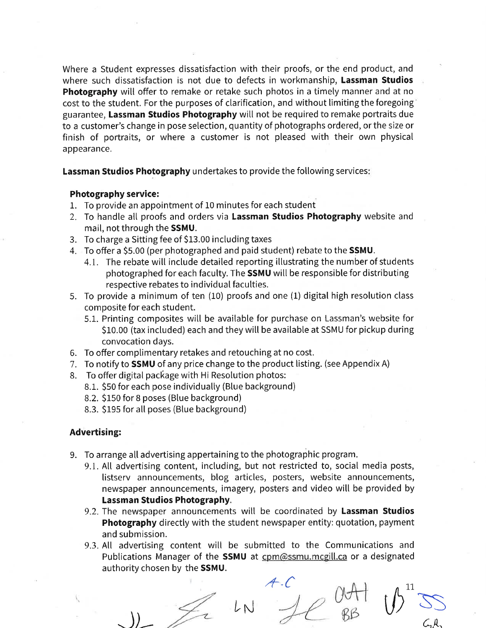Where a Student expresses dissatisfaction with their proofs, or the end product, and where such dissatisfaction is not due to defects in workmanship, Lassman Studios Photography will offer to remake or retake such photos in a timely manner and at no cost to the student. For the purposes of clarification, and without limiting the foregoing guarantee, Lassman Studios Photography witl not be required to remake portraits due to a customer's change in pose selection, quantity of photographs ordered, or the size or finish of portraits, or where a customer is not pleased with their own physical appearance.

Lassman Studios Photography undertakes to provide the following services:

# Photography service:

- 1. To provide an appointment of 10 minutes for each student
- 2. To handle all proofs and orders via Lassman Studios Photography website and mail, not through the SSMU.
- 3. To charge a Sitting fee of \$13.00 including taxes
- 4. To offer a SS.OO (per photographed and paid student) rebate to the SSMU.
	- 4.1. The rebate will include detailed reporting illustrating the number of students photographed for each faculty. The **SSMU** will be responsible for distributing respective rebates to individual faculties.
- 5. To provide a minimum of ten (10) proofs and one (1) digital high resolution class composite for each student.
	- 5.1. Printing composites will be available for purchase on Lassman's website for \$10.00 (tax included) each and they will be available at SSMU for pickup during convocation days.
- 6. To offer complimentary retakes and retouching at no cost.
- 7. To notify to **SSMU** of any price change to the product listing. (see Appendix A)
- 8. To offer digital package with Hi Resolution photos:
	- 8.1. \$50 for each pose individually (Blue background)
	- 8.2. S150 for B poses (Blue background)
	- 8.3. S195 for all poses (Blue background)

# Advertising:

- 9. To arrange all advertising appertaining to the photographic program.
	- 9.1. All advertising content, including, but not restricted to, social media posts, listsery announcements, blog articles, posters, website announcements, newspaper announcements, imagery, posters and video wilt be provided by Lassman Studios Photography.
	- 9.2. The newspaper announcements will be coordinated by Lassman Studios Photography directly with the student newspaper entity: quotation, payment and submission.
	- 9.3. All advertising content will be submitted to the Communications and Publications Manager of the SSMU at com@ssmu.mcgill.ca or a designated authority chosen by the SSMU.

 $\bigcup$ 

LÑ .+-c

 $\emptyset$ A $\dagger$ w  $\mathbb{Z}$  $\bigcup$ 11,

 $\mathcal{L}_1\mathcal{R},$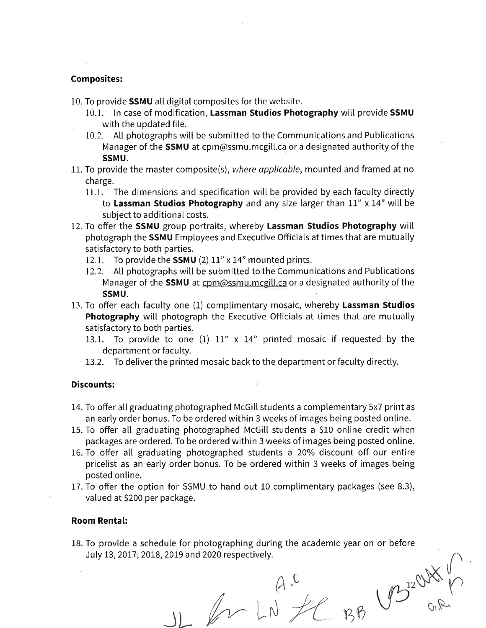# Composites:

- 10. To provide **SSMU** all digital composites for the website.
	- 10.1. In case of modification, Lassman Studios Photography will provide SSMU with the updated file.
	- 10.2. All photographs witl be submitted to the Communications and Publications Manager of the **SSMU** at cpm@ssmu.mcgill.ca or a designated authority of the ssMu.
- 11. To provide the master composite(s), where applicable, mounted and framed at no charge.
	- 11.1. The dimensions and specification will be provided by each faculty directly to Lassman Studios Photography and any size larger than  $11''$  x  $14''$  will be subject to additional costs.
- 12. To offer the SSMU group portraits, whereby Lassman Studios Photography will photograph the SSMU Employees and Executive Officials at times that are mutually satisfactory to both parties.
	- 12.1. To provide the **SSMU** (2) 11" x 14" mounted prints.
	- 12.2. Att photographs wilt be submitted to the Communications and Publications Manager of the SSMU at cpm@ssmu.mcgill.ca or a designated authority of the SSMU.
- 13. To offer each faculty one (1) complimentary mosaic, whereby Lassman Studios Photography will photograph the Executive Officials at times that are mutually satisfactory to both parties.
	- 13.1. To provide to one  $(1)$  11" x 14" printed mosaic if requested by the department or faculty.
	- 13.2. To deliver the printed mosaic back to the department or faculty directly.

# Discounts:

- 14. To offer all graduating photographed McGill students a complementary 5x7 print as an early order bonus. To be ordered within 3 weeks of images being posted online.
- 15. To offer all graduating photographed McGill students a \$10 online credit when packages are ordered. To be ordered within 3 weeks of images being posted online.
- 16. To offer all graduating photographed students a 20% discount off our entire pricelist as an early order bonus. To be ordered within 3 weeks of images being posted online.
- 17. To offer the option for SSMU to hand out 10 complimentary packages (see 8.3), valued at 5200 per package.

### Room Rental:

18. To provide a schedule for photographing during the academic year on or before July 13, 2017,2018, 2019 and 2020 respectively.

 $A^{\circ}$ 

 $JL$  for LN  $fC$  BB

 $y$  $\bigcup_{\mathcal{A}}\bigcup_{\mathcal{A}}\mathcal{A}$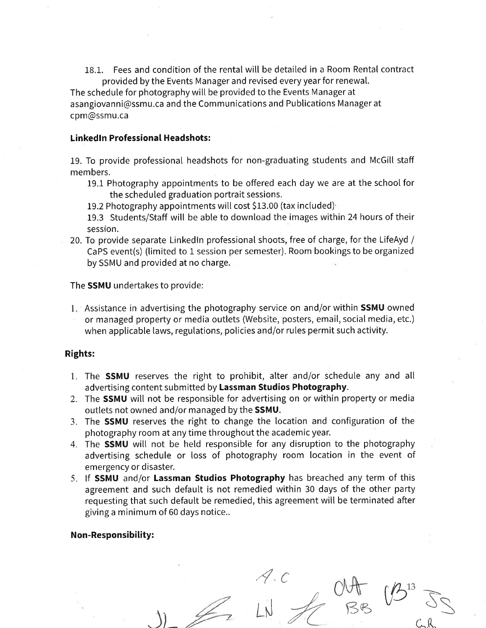18.1. Fees and condition of the rental will be detailed in a Room Rental contract provided by the Events Manager and revised every year for renewal.

The schedule for photography wilt be provided to the Events Manager at asangiovanni@ssmu.ca and the Communications and Publications Manager at cpm@ssmu.ca

### **Linked In Professional Headshots:**

19. To provide professional headshots for non-graduating students and McGill staff members.

19.1 Photography appointments to be offered each day we are at the school for the scheduled graduation portrait sessions.

19.2 Photography appointments will cost \$13.00 (tax included)

19.3 Students/Staff will be able to download the images within 24 hours of their session.

20. To provide separate Linkedln professional shoots, free of charge, for the LifeAyd / CaPS event(s) (timited to I session per semester). Room bookings to be organized by SSMU and provided at no charge.

The SSMU undertakes to provide:

1. Assistance in advertising the photography service on and/or within **SSMU** owned or managed property or media outlets (Website, posters, email, social media, etc.) when applicable laws, regulations, policies and/or rules permit such activity.

# Rights:

- 1. The SSMU reserves the right to prohibit, alter and/or schedule any and all advertising content submitted by Lassman Studios Photography.
- 2. The **SSMU** will not be responsible for advertising on or within property or media outlets not owned and/or managed by the SSMU.
- 3. The SSMU reserves the right to change the location and configuration of the photography room at any time throughout the academic year.
- 4. The **SSMU** will not be held responsible for any disruption to the photography advertising schedule or loss of photography room location in the event of emergency or disaster.
- 5. If SSMU and/or Lassman Studios Photography has breached any term of this agreement and such default is not remedied within 30 days of the other party requesting that such defautt be remedied, this agreement will be terminated after giving a minimum of 60 days notice..

4.c

53

 $C, R$ 

13

# Non-Responsibility:

 $JL \rightarrow LN \rightarrow C$ BB VB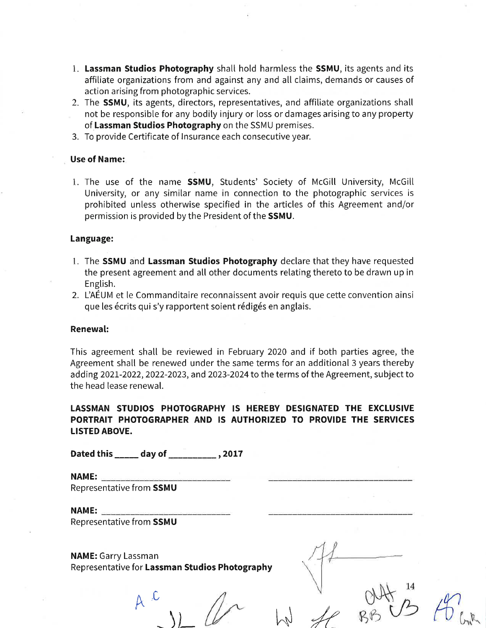- 1. Lassman Studios Photography shatl hold harmless the SSMU, its agents and its affiliate organizations from and against any and all claims, demands or causes of action arising from photographic services.
- 2. The **SSMU**, its agents, directors, representatives, and affiliate organizations shall not be responsible for any bodily injury or loss or damages arising to any property of Lassman Studios Photography on the SSMU premises.
- 3. To provide Certificate of lnsurance each consecutive year.

# Use of Name:

1. The use of the name **SSMU**, Students' Society of McGill University, McGill University, or any similar name in connection to the photographic services is prohibited unless otherwise specified in the articles of this Agreement and/or permission is provided by the President of the SSMU.

### Language:

- 1. The **SSMU** and Lassman Studios Photography declare that they have requested the present agreement and all other documents relating thereto to be drawn up in English.
- 2. L'AÉUM et le Commanditaire reconnaissent avoir requis que cette convention ainsi que les écrits qui s'y rapportent soient rédigés en anglais.

#### Renewal:

This agreement shall be reviewed in February 2020 and if both parties agree, the Agreement shall be renewed under the same terms for an additional 3 years thereby adding 2021-2022, 2022-2023, and 2023-2024 to the terms of the Agreement, subject to the head lease renewal.

# LASSMAN STUDIOS PHOTOGRAPHY IS HEREBY DESIGNATED THE EXCLUSIVE PORTRAIT PHOTOGRAPHER AND IS AUTHORIZED TO PROVIDE THE SERVICES LISTED ABOVE.

Dated this \_\_\_\_\_ day of \_\_\_\_\_\_\_\_\_\_\_\_\_, 2017

NAME: Representative from SSMU

NAME:

Representative from SSMU

NAME: Garry Lassman Representative for Lassman Studios Photography

 $A^{\circ,C}$  $\frac{1}{2}$   $\mu$   $\frac{1}{2}$   $\frac{1}{8}$   $\frac{1}{12}$   $\frac{1}{10}$   $\frac{1}{10}$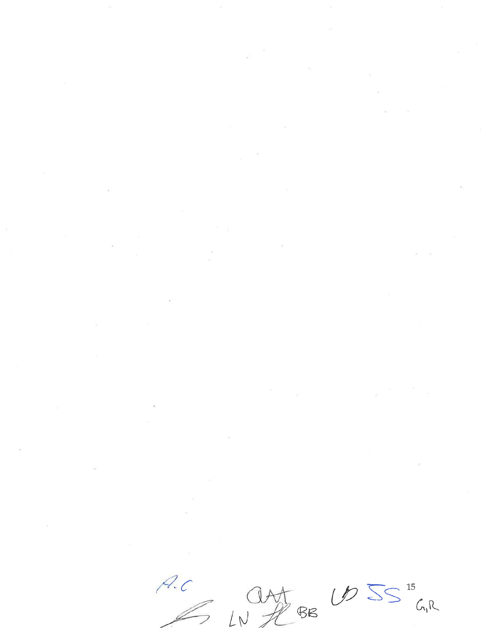A.C CAST BE UD 5S "GIR